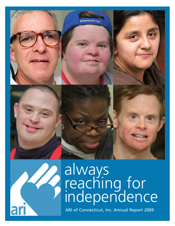



# always reaching for independence

ARI of Connecticut, Inc. Annual Report 2009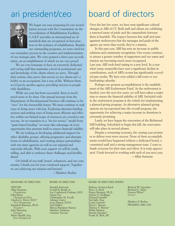

We began our year preparing for our accreditation process with the Commission on the Accreditation of Rehabilitation Facilities. C.A.R.F. provides an international set of standards that are recognized as best practices in the industry of rehabilitation. Besides our outstanding programs, we were cited for

our exemplary process in the creation and implementation of our strategic plan. We were granted a three-year accreditation, an accomplishment of which we are very proud.

We are very fortunate to have an extremely dedicated and caring staff that maintains a level of professional care and knowledge of the clients whom we serve. Through their actions, they prove that service to our clients isn't a hobby or an occupation, but a way of life. Without them, we'd just be another agency providing services to people with disabilities.

While our year has been successful, there is much, much more to be done. Our annual increase from the Department of Developmental Services will continue to be "zero" for the foreseeable future. We must continue to seek ways of doing more with less. Exploring alternate funding sources and seeking ways of being more efficient and effective within our limited scope of resources are crucial to our success. As we transition to a "fee for service" model from "grant-based funding" we must take advantage of every opportunity that presents itself to ensure financial viability.

We are looking at developing additional support for other disability groups, offering progressive and alternate forms of rehabilitation, and creating deeper partnerships with our sister agencies as well as our regional and statewide officials. With your support we will be ready, willing, and able to embrace these challenges and hurdles ahead.

On behalf of our staff, board, volunteers, and our community, I thank you for your continued support. Together we are achieving our mission and beyond.

#### ARI BOARD OF DIRECTORS

**OFFICERS** Allan Sussman *Chairperson* John Russo *Chairperson-Elect* Charles G. Hertz, M.D.\* *Vice Chairperson* Kamalesh Banerjee, Ph.D. *Treasurer* John Downing *Secretary* Mario Musilli, Esq. *Past Chairperson*

—Matthew Reyher

BOARD OF DIRECTORS

Donald Axleroad<br>Gerald R. Bosak, Jr. Lee Combrinck-Graham, M.D.<br>Ginny Fox Christopher M. Foxall Adriano Gatto Leon Hanna, D.D.S. Gail Malloy Marcia Bresslour Staines Matthew Tackman Carmine Vaccaro

### ari president/ceo board of directors

Over the last few years, we have seen significant cultural changes at ARI of CT. Both staff and clients are exhibiting a renewed sense of pride and the camaraderie between them is heartfelt. The respect between line staff and management underscores that the messages and goals of the agency are more than words, they're a mantra.

In this past year, ARI has seen an increase in public relations and community recognition. Our events continue to attract a greater number of supporters and our name and mission are becoming much more recognized. Last year, ARI took fund raising to a new level. In a year when many nonprofits have seen a significant decline in contributions, each of ARI's events has significantly exceeded past results. We have even added a fall event to our fundraising calendar.

Perhaps our greatest accomplishment is the establishment of the ARI Endowment Fund. As the endowment is funded, over the next few years, we will have taken a major step to ensure the financial stability of ARI. Included within the endowment program is the vehicle for implementing a planned-giving program. As alternative planned-giving options are incorporated into the overall program, the opportunity for achieving a major increase in donations is extremely promising.

Lastly, we have begun the renovation of the Richmond Hill building. Scheduled to begin this fall, the renovation will take place in several phases.

Despite a worsening economy, the coming year promises to deliver even more success. None of these accomplishments would have happened without a dedicated board, a committed staff and a strong management team. I want to thank everyone for their time and effort. It is truly appreciated. I look forward to working with each of you next year.

—Allan Sussman

#### BOARD OF DIRECTORS EMERITI

Barbara Aronica-Buck Peter A. Buck Henry Brenner, Ph.D. Arlene O. DuBiago Edward Granelli Sari Jaffe, Esq. Louis Lotstein\* Paul G. Macari Thelma V. Martin\* Philip Molstre Dennis Murphy\* Frank D. Rich, III

Richard W. Saunders Richard E. Taber Francis White\* *\*deceased*

Matthew P. Reyher PRESIDENT AND CEO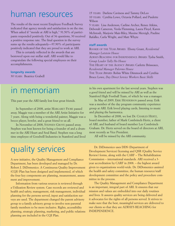### human resources

The results of the most recent Employee Feedback Survey indicated that agency morale and satisfaction is on the rise. When asked if "morale at ARI is high," 91.50% of participants responded positively. Out of 36 questions, 30 received a positive response rate. The final question in the survey sums up the results adequately—97.90% of participants positively indicated that they are proud to work at ARI.

This is certainly reflected in the awards that are bestowed upon our stellar staff. ARI would like to congratulate the following special employees on their accomplishments.

#### **longevity awards**

30 YEARS: Beatrice Grabell

### in memoriam

This past year the ARI family lost four great friends.

In September of 2008, artist MARGARET FIORE passed away. Maggie was a member of the ARI Artist Initiative for 7 years. Along with being a wonderful painter, Maggie was a bocce player, bowler, and a great friend to us all.

In November of 2008, STEPHEN GROVE passed away. Stephen was best known for being a founder of and a drummer in the ARI Heart and Soul Band. Stephen was a long time employee of Goodwill Industries in Stamford and lived

### quality services

A new initiative, the Quality Management and Compliance Department, has been developed and managed by Dr. Robert J. DiDomenico. A Continuous Quality Improvement (CQI) Plan has been designed and implemented, of which the four key components are planning, measurement, assessment and improvement.

Information from various sources is reviewed through a Utilization Review system. Case records are reviewed and health and safety, management, risk management, individual planning for the persons served, input and satisfaction surveys are used. The department changed the parent advisory group to a family advisory group to involve non-parental family members to be more inclusive. Rights, accessibility planning, strategic planning, marketing, and public relations planning are included in the CQI Plan.

15 YEARS: Darlene Caviness and Tammy DeLeo 10 YEARS: Cynthia Lowe, Octavia Pollard, and Paulette Wilson

5 YEARS: Lisa Anderson, Carline Archer, Renee Atkins, Deborah Cameron, Veola Flemming, Laura Floyd, Karen McIntosh, Marjorie Mair-Riley, Maxine Mereigh, Pauline Rafalko, Carla Wright, and Matt Whyte

#### **staff awards**

ROOKIE OF THE YEAR AWARD: Ebony Grant, *Residential Manager Lotstein House* ALWAYS REACHING FOR INDEPENDENCE AWARD: Tysha Smith, *Group Leader Tally Ho House* THE HEART OF THE AGENCY AWARD: Carlette Brisseaux, *Residential Manager Palermo House* THE TEAM AWARD: Robin White Dimmock and Cynthia Bruce Lowe, *Day Direct Service Workers Basic Skills*

in his own apartment for the last several years. Stephen was a good friend and will be missed by ARI as well as the Stamford High Football Team, of which he was a manager.

In May of 2009, ERIK HENDERSON passed away. Erik was a member of the day program community experience group at ARI. Erik loved playing cards, listening to music and playing the harmonica.

In December of 2008, we lost Dr. CHARLES HERTZ, board member, father of Mark Combrinck-Hertz, a client of ARI, and husband of board member Lee Combrinck-Graham. Dr. Hertz served on the board of directors at ARI, most recently as Vice President.

All will be missed by the ARI community.

Dr. DiDomenico uses DDS (Department of Development Services) licensing and QSR (Quality Service Review) forms, along with the CARF – The Rehabilitation Commission – international standards. ARI received a 3 year accreditation by CARF in 2008. – the highest award given to organizations world-wide. Dr. DiDomenico assisted the health and safety committee, the human resource/staff development committee and the policy and procedure committee in the process.

The Quality Management and Compliance Department is an important, integral part of ARI. It ensures that our mission and values are embedded into our daily routines and lives. It assures quality services are being delivered and it advocates for the rights of all persons served. It strives to make sure that the best, meaningful services are delivered to our clients so that they are ALWAYS REACHING for INDEPENDENCE.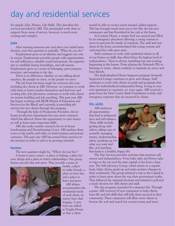### day and residential services

It's simple: Jobs, Homes, Life Skills. This describes the services provided by ARI. The meaningful work done to support those areas of service, however, is much more exciting and complex.

#### **jobs**

After meeting someone new and after your initial introduction, your first question is typically, "What do you do?"

Employment gives us an identity and suggests our role in society. Employment provides people with opportunities for self sufficiency, valuable social interactions, the opportunity to establish lasting friendships, and self-esteem. Employment gives us a sense of belonging, gives purpose, structure, and meaning to the day.

There is no difference whether we are talking about ouselves, the people we meet, or the people we serve.

The job front has been tough for everyone this year, including the clients at ARI. However, we continue to work with them to better market themselves and find new and exciting jobs. Job placement continues to work with clients on resume building and job searching. This past year ARI has begun working with BESB (Board of Education and Services for the Blind) and currently is providing job services for two clients through this program.

Through the help of Production Providers, the inhouse production department has seen more contracts which has allowed clients the opportunity to earn money as well as learn some important skills.

ARI also seeks outside contracts for its in-house Landscaping and Housekeeping Crews. ARI markets these crews to the public and relies on both business and private contracts. This past year ARI has posted these services on the internet in order to add to its growing schedule.

#### **homes**

The next question might be, "Where do you live?" A home is one's center—a place to belong, a place for your things and a place to foster relationships. Our group homes provide this and more. They provide a sense of



family, a place to make friends, a place to have fun, and a place to learn and grow.

ARI always accommodates the residential needs of each client, no matter how challenging. A new bed was added at Truglia House so that a client

would be able to receive much needed, added support. This has brought much more joy to her life; she has new roommates and has flourished in her role at the home.

At Lotstein House, a respite bed was opened and filled by an emergency placement allowing a young woman to move in and join the family of residents. The staff and residents of the home accommodated this young woman and welcomed her with open arms.

Staff continues to work with residential clients in all of our homes on skills that afford them the highest level of independence. There is always something fun and exciting happening at the homes. From playing the Nintendo Wii to listening to music, clients continue to maintain an active and busy lifesyle.

The Individualized Home Supports program (formerly Supported Living) continues to grow and change. Staff continues to work with clients on goals and programs that allow for individualized independent living. Living in your own apartment is expensive, so, once again, ARI received a grant from the First County Bank Foundation to help with emergency expenses that are incurred by clients.

#### **life skills**

ARI embraces all opportunities that lead to independence and self-reliance. These skills include getting along with others, taking care of yourself, managing money, understanding safety, speaking up for what you want and like, and anything

that leads to a healthy, happy life.

The Day Services provides activities that promote selfesteem and independence. From bake sales and flower sales to trips to the zoo and the state capital, it has been a busy year. The Self-advocacy Group, which meets on a regular basis, helps clients speak up and make positive changes in their community. The group initiated a trip to the Capital in order to learn more about the way their government works. They followed the national elections and initiated a poll and a mock election for ARI clients and staff.

The day program expanded its computer lab. Through a grant, ARI received 10 new computers to help clients learn life and job skills that will help them succeed in their community. These computers will allow more clients to browse the web and search for current events and news.

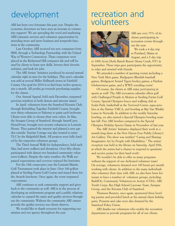ARI has been very fortunate this past year. Despite the economic downturn we have seen an increase in community support! We are spreading the word and marketing ARI's fantastic services and volunteer opportunities by attending more and more business and nonprofit functions in the community.

Last October, ARI received ten new computers from IBM, through a Technology Partnership with the United Way of Western Connecticut. These computers were placed in the Richmond Hill computer lab and will be used by clients to learn new skills, browse their favorite websites, and look for jobs.

The ARI Artists' Initiative produced its second annual calendar right in time for the holidays. This year's calendar was sold at several Miller Hallmark stores in Fairfield County. Our goal for 2010 is to find least twelve sponors, one a month. All profits go towards purchasing supplies for the classes.

Our Annual Appeal, held each December, surpassed previous numbers in both donors and amount raised.

In April, volunteers from the Stamford Kiwanis Club, through Rebuilding Together Fairfield County, brought over thirty volunteers to Palermo to paint each bedroom. Clients were able to choose their own colors. In May, the Synapse Group of Stamford, through AmeriCares HomeFront, brought over seventy volunteers to Lotstein House. They painted the interior and planted a new garden outside. Sunrise Cottage was also treated to some TLC by the Ridgefield Bank. All projects were fully funded by the respective volunteer groups.

The Third Annual Walk for Independence, held each May, had more walkers and donations. Over fifty clients participated with almost two hundred community volunteers/walkers. Despite the rainy weather, the Walk surpassed expectations and *everyone* enjoyed the festivities.

For the 14th consecutive year the Lotstein/Martin Golf Tournament took place in June. Over 100 golfers played at Sterling Farms Golf Course and stayed there for the Awards luncheon. Once again, the event surpassed expectations.

ARI continues to seek community support and gives back to the community as well. ARI is in the process of developing an endowment program and a public relations calendar to expand the name and quality services throughout the community. Without the community ARI cannot provide the quality services our clients deserve.

We would like to thank everyone for supporting our mission and our agency throughout the year.

### development recreation and volunteers



ARI saw over 75% of its clients participating in recreation events throughout the year.

We took a 4-day trip to Portland, Maine in August, and a 5-day trip

to 1000 Acres Dude Ranch Resort (Stony Creek, NY) in September. These trips gave participants the opportunity to relax and unwind with friends.

We attended a number of sporting events including a New York Mets game, Bridgeport Bluefish baseball games, Bridgeport Sound Tigers hockey games, a Harlem Globetrotters game, and a WWE wrestling event!

Of course, the clients at ARI enjoy *participating* in sports as well! The ARI recreation calendar offers golf with Challenged People in Motion at Sterling Farms Golf Course, Special Olympics bocce and walking club at Scalzi Park, basketball at the Yerwood Center, aqua-aerobics at the Darien YMCA, and bowling at Rip Van Winkle Lanes in Norwalk. In addition to the weekly Saturday bowling, we also started a Special Olympics bowling team last fall. Five ARI bowlers competed in the Special Olympics Holiday Sports Classic in November of last year.

The ARI Artists' Initiative displayed their work in a month-long show at the New Haven Free Public Library's Art Gallery. The show was entitled "Caring and Sharing: Imaginative Art by People with Disabilities." The artists' reception was held at the library on Saturday, April 25th, at which the artists had a chance to respond to questions and receive praise for their hard work!

We wouldn't be able to offer so many programs without the support of our dedicated volunteer team! On average, volunteers donated over 100 hours per month working with clients. In addition to the many individuals who volunteer their time with ARI, we also have been fortunate to have a number of volunteer groups, including: BuildOn, Community Volunteers in Action (CVIA), ARI Youth Corps, Rye High School Lacrosse Team, Synapse Group, and the Kiwanis Club of Stamford.

Thomson Reuters, once again, sponsored three bowling parties and provided lunch at the annual client holiday party. Presents and cake were also donated by the Stamford Police Union.

ARI thanks our volunteers who enable the recreation department to provide programs for all of our clients.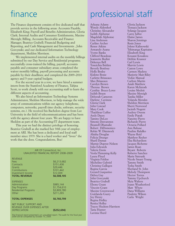## finance

The Finance department consists of five dedicated staff that provide service in the following areas: Accounts Payable, Elizabeth King; Payroll and Benefits Administration, Gloria Clark; Internal Audits and Consumer Entitlements, Maxine Mereigh; Billing, Accounts Receivable and Finance Manager, Beatrice Grabell; Financial Budgeting and Reporting, and Cash Management and Investments , John Gorcynski; and our dedicated Information Technology department, Sheldon Morrison.

We implemented internal audits on the monthly billings submitted by our Day Service and Residential programs; successfully cross-trained the billing, payroll, accounts payable and consumer subsidiary areas; completed the waiver monthly billing, payroll processing and accounts payable by their deadlines; and completed the 2009–2010 agency and 5-year capital budgets.

For the second year in a row, we have hired a summer intern from the Stamford Academy of Finance, Tahjna Scott, to work closely with our accounting staff to learn the different aspects of accounting.

We also hired an Information Technology Systems Administrator, Sheldon Morrison, to help manage the wide array of communications within our agency (telephone, computers, networks, payroll time clocks, software, security systems, etc.). He received his Bachelors degree from Lee University in the field of telecommunications and has been with the agency almost four years. We are happy to have Sheldon as part of the Accounting/IT department team.

This year we had the distinct privilege of honoring Beatrice Grabell as she marked her 30th year of employment at ARI. She has been a dedicated and loyal staff member since 1979. She is a hard worker and "loves" the work that she does. Congratulations, Bea!

> ARI Of Connecticut, Inc. UNAUDITED FINANCIAL REPORT 2008–2009

| <b>REVENUE</b><br>Fees<br>Contracts<br>Grants<br>Contributions<br>Investment Income<br><b>TOTAL REVENUE</b> | \$6,213,682<br>\$151,436<br>\$29,446<br>\$101,442<br>\$12,009<br>\$6,508,105 |
|-------------------------------------------------------------------------------------------------------------|------------------------------------------------------------------------------|
| <b>EXPENSES</b><br>Administration<br>Day Programs<br><b>Residential Programs</b><br>Other                   | \$985,144<br>\$1,754,610<br>\$3,809,780<br>\$211,265                         |
| <b>TOTAL EXPENSES</b>                                                                                       | \$6,760,799                                                                  |
| NET PUBLIC SUPPORT AND<br>REVENUE OVER EXPENSES AFTER<br><b>DEPRECIATION</b>                                | (\$252.694)                                                                  |

The financial report presented is an unaudited report. The audit for the fiscal year <sup>2009</sup> will be completed by October 15, 2009.

## professional staff

Arleana Adams Wendy Aldershof Christine Alexander Judith Alphonse Magdelah Alphonse Lisa Anderson Carline Archer Renee Atkins Armando Azana Yvette Banks Clifford Beauleau Jeannette Bedini Dekenya Bell Toneichia Bolden Beverly Bonfoey Holly Bosley Kislene Bosse Carlette Brisseaux Max Brisseaux Carolyn Brown Theresa Brown Cynthia Bruce-Lowe Judith Bruen Deborah Cameron Darlene Caviness Gloria Clark John Conrad Mary Cook Thaddeus Cuffee Andy Dayes Tammy DeLeo Simone Desvarenes Jheanell Dhamalie Robert DiDomenico Robin W. Dimmock Ahisha Douglas Felicia Drungo Sharil Dumas Marnie Dupree-Nelson Julia Edwards Valerie Ennis Veola Flemming-Kelly Laura Floyd Virginia Foldoe Micheline Gabriel Christina Gallegos Regina Garcia Gerard Gasparino Debra Gay John Gorcynski Beatrice Grabell Ebony Grant Vincent Grant Maxine Greenwood Guirlanda Guery Joy Henry Regina Holley Renita Holley Tracey Hudson-Harrison Taria Hunter Lavinia Hurd

Gloria Jackson Tionaya Jackson Solange Jacques Carey Jaffee Elaine James Sharon Jennings Rosie Jones Jolene Kalinowski Tshimanga Kapitaine Elizabeth King Kouassi Kouakou Debbie Krasner Carl Lewis Marvin Lewis Caston Lowe Carmen Madera Marjorie Mair-Riley Vickie Manual Carlton Martin Asiah Matthew Karen McIntosh Louise Medoit Maxine Mereigh Tanika Miller Yolanda Morales Sheldon Morrison Sherri Norwood Jacinth Nugent Audrey Owens Emily Piatak Nanotte Pierre Richarde Pierre Octavia Pollard Ann Rabuse Pauline Rafalko Wayne Reid Matthew Reyher Elsa Richardson Jacques Richeme James Roan Bryant Roberts Roberto Sanchez Marie Sistrunk Nicole Smart-Young Tammy Smith Tysha Smith Sherland St. John Melody Thompson Hector Torres Tammy Upchurch Myia Walters Joann Weatherford Matt Whyte Dana Williams Paulette Wilson Carla Wright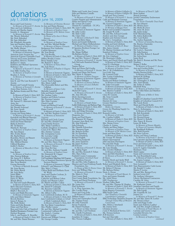### donations july 1, 2008 through june 16, 2009

Rocco and Carol Acierno *In Memory of Kenneth V. Arestia* Marc and Lori Adelsberg Steven and Martha Aigner Jennifer A. Akpapuna *In Memory of Kenneth V. Arestia* Mary Brenner<br>Ms. Wendy Aldershof *In Honor o* Mr. Nick Aldershof Mr. Sam Aldershof Ms. Elizabeth Alexander Jane and Stephen Alpert *In Memory of Stephen Grove* Ms. Shelly Altman Arline and Anthony Alves *In Memory of Antoinette Viggiano* American Auto Auction Inc. American Express Charitable Fund Vincent and Lurana Andrisani Anquillare, Roucco, Traester Barbara O. Anton Kathleen and Michael Apruzzese Barbara J. Apy<br>*In Memory of Kenneth V. Arestia*<br>Jean Mills Aranha, Esq.<br>*In Memory of Stephen Grove*<br>Rosalyn A. Arena<br>*In Memory of Nicholas & Jennifer Rose Arena* Jane K. and The Late Kenneth V. Arestia Rosario and Carmell Arestia *In Memory of Kenneth V. Arestia* Aristo Data Systems, LLC Ms. Barbara Aronica and Mr. Peter Buck *In Memory of Charles G. Hertz, M.D. In Memory of Stephen Grove* Mr. Herbert J. Ashe Mr. Samuel O. Akiwumi-Assani Atria, Inc. Axel Johnson Inc. Mr. Donald Axleroad Ms. Irene Ayoub Mr. Henry Baietto George and Susan Baker *In Memory of Kenneth V. Arestia* Kamalesh and Bharati Banerjee Chandan and Sara Banerjee Sunil and Susan Banerjee Bank of America Mr. Tal Barnea Marsha K. Bartram *In Memory of Stephen Grove* Ms. Sara Basson Mrs. Evelyn Bauer Ms. Rachel Baum Beardsley, Brown and Bassett Mr. Michael A. Beal Mrs. Mildred Beattie Clifford Beauleau Judith S. Becker *In Memory of Marcella & Peter Sedor* Joan Beirne *In Memory of Stephen Grove* Mrs. Patricia Belknap Ms. Janna H. J. Bellwin Benefit Planning Services, LLC Mrs. Neva Bennett George Bernardo *In Honor of Michelle Bernardo* Ms. Irma Bevans Ms. Helen Biordi Ms. Judy Bixby James Blake Bruce Blasnik Harry N. Bloch Wendy Bloch Dr. Paul and Lynda Bluestein *In Memory of Charles G. Hertz, M.D.* Bob's Discount Furniture Charitable Foundation Ralph J. Boccuzzi, Jr. Lynne and Ralph Boccuzzi *In Memory of Antoinette Viggiano* John and Eileen Boland Beverly Bonfoey James F. Bongo, Jr. Ms. Holly Bosley Nejra and Edin Botonjic Diane and Paul Bova Boys and Girls Club of Stamford Bradford Renaissance Portraits Corp. Herbert Bregman

John L. and Jeanine K. Brendler *In Memory of Charles G. Hertz, M.D.* Mr. and Mrs. Daniel Brenner

*In Memory of Christine Brenner* Jo Ann and Henry Brenner *In Memory of Charles G. Hertz, M.D. In Memory of Stephen Grove In Memory of Dr. Melvin Grove In Honor of Jo Ann & Henry Brenner* Adele J. Breslow *In Memory of Stephen Grove* Mr. and Mrs. Michael Bridge *In Memory of Harvey Gerowitz* Bridgeport Port Authority Carlette Brisseaux Ms. Joan Brode Ms. Lisa Brodlie *In Memory of Charles G. Hertz, M.D.* Hillary Brooke Creates Bruce Supply Corp. Mr. Richard T. Bruce *In Memory of Nancy Bruce* Ms. Judy Bruen *In Memory of Pauline & Eugene Bruen In Memory of Antoinette Viggiano In Memory of Charles G. Hertz, M.D. In Memory of Stephen Grove* Ms. Cyndi Burres Cacace Tusch Santagata Mrs. Marie Cahill The Honorable Robert and Mrs. Callahan *In Memory of James Coley* Michelle Campbell John and Karen Campbell Ms. Lindsay Carley Stephen and Felicia Carriero Ms. Preciosa Carneiro Mrs. Elsie Carretto Chuck Carroll Susan and Richard Carroll *In Memory of Kenneth V. Arestia* Elaine Carroll *In Memory of Charles G. Hertz, M.D.* Mr. and Mrs. Stephen Carriero *In Memory of Antoinette Viggiano* Kenneth and Cindy Carson Dr. and Mrs. Donald Case Casey Family Services Mrs. Maria Castellucci Catholic Daughters of America, Court of St. Mary's #82 Mrs. Darlene Caviness Ms. Georgianna Cecire Ms. Lorraine Cefalo Georgiana Cesarelli In Memory of Antoinette Viggiano<br>Mr. and Mrs. Harry Chen<br>In Memory of Kenneth V. Arestia<br>Mr. James J. Chirico<br>Mr. Chris Sh Choi<br>Mr. and Mrs. Anthony Ciaraldi<br>In Memory of Stephen Grove<br>Mr. Dominick M. Cingari Mr. Joseph Cipolla Citi Foundation Matching Gift Program City of Stamford Downtown Special Mrs. Kathleen Fawcett Mr. and Mrs. John Feighery, Jr. Services District *In Memory of Antoinette Viggiano* Edward J. and Maureen O. Clark Mrs. Mary J. Cleary Clifton Budd and DeMaria (Scott M. Wich) Anne and Charles Cochran, Jr. Ms. Rachel Cohen Catherine and Robert Cohen Gladys and Morton Cohen Dr. Martin and Mrs. Cohen *In Memory of Charles G. Hertz, M.D.* Mr. Daniel P. Colangelo Ms. Roxanne Colatrella *In Memory of Antoinette Viggiano* Ms. Allison Colby Lee Combrinck-Graham, M. D. *In Memory of Charles G. Hertz, M.D.* Jane Combrinck-Graham *on behalf of* Mark Combrinck-Hertz *In Memory of Charles G. Hertz, M.D.* Ms. Eva Marie Compolattaro Mrs. Phyllis Comrie Mr. and Mrs. Michael Considine Continental Coiffuers III Ms. Linda L. Condon Ms. Terri Condon Patricia and William Conway Mr. George Corsilia

Walter and Carole Ann Cortese John and Martina Costello Kyle Cox *In Memory of Kenneth V. Arestia* Creative Pension and Administration Helen and Darrel Croot Ms. Lenore De Csepel Thomas R. Cuddeback – TC-PCs Ms. Lynn Cuddy *In Memory of Antoinette Viggiano* Mr. John Curley Mr. Dick Cutler Ms. Claire Daly *In Memory of Richard F. Daly* Lewis and Betty Dana Karen and Joseph DeBartolo Michael and Marie DeBartolomeo *In Memory of Stephen Grove* D'Agostino Brothers Foreign Car Service, Inc. Ms. Marge DeBlasi Ms.Barbara Decker *In Memory of Charles G. Hertz, M.D.* Mr. and Mrs. Terence J. Degnan *In Memory of Kenneth V. Arestia* Jack DeGrado-Stamford Dental Group Tammy DeLeo Nick and Dores Del Guidia *In Memory of Kenneth V. Arestia* Joseph and Diane Del Priore Mrs. Marie A. Deragon *In Memory of Harry Deragon In Memory of Antoinette Viggiano* Mrs. Marie DeRubis *In Memory of Nunzie DePreta In Memory of Lewis DeRubis* Morli S. Desai *In Memory of Kenneth V. Arestia* Michel Di Capua *In Memory of Kenneth V. Arestia* Ms. Amy DiCarlo Dick's Sporting Goods<br>Dr. Robert J. DiDomenico Dr. Robert J. DiDomenico<br>Karen J. Dolan<br>Judith Dollenmayer and Barbara Page<br>Judith Dollenmayer and Barbara Page<br>*In Memory of Charles G. Hertz, M.D.*<br>John and Helga Downing<br>*In Memory of Charles G. Hertz, M.D.*<br>Draperies, Susan and Paul Duarte Ms. Margaret M. Duguay Economy Auto Body, Inc. Mr. Alan Edwards Julia Edwards Ms. Danielle Edwardson Mrs. Margaret Egan Ms. Roberta Eichler Ms. Ivy Eisenberg Mr. Izzy Eisenberg Richard English Ms. Norma Eselgroth Ms. Jeany Espinoza Mr. James Euchner Jill H.Evans *In Memory of Kenneth V. Arestia* Ms. Aisling Fagan Mr. and Mrs. Kenneth F. Fahan Mrs. Mary Fahey Fairfield County Community Foundation: *Sternbach Fund* Maurice and Carol Feinberg Family Robert and Elizabeth Hertz Joyce and William Filip *In Memory of Kenneth V. Arestia* Ms. Maria G. Fiori First County Bank First County Bank Foundation, Inc. Tamara and David Fischman *In Memory of Kenneth V. Arestia* Ms. Lynne Fite Flad Architects G. A. Fleet Associates, Inc. Mrs. Lucille Flynn Dawn and Greg Foltz *In Memory of Charles G. Hertz, M.D.* William Foster Tanya and Christopher Foxall Ms. Virginia Fraser Mr. John Frattaroli Steven Frederick Mr. Daniel Friedman *In Honor of Allan Sussman* Mr. and Mrs. Carl Friedman Mrs. Estelle Fruchtman *In Memory of Charles G. Hertz, M.D.* Josephine H. Gaipa Mrs. Noreen Gallagher

Foundation, Inc. [In Memory of Charles G. Hertz, M.D. State Representative Carlo Leone<br>In Honor of Mel & Denise Grove Mr. Robert P. Herzog [Mr. Ronald V. Lesko In Memory of Robert Gallagher, Jr.<br>In Memory of Robert Gallagher III<br>Joseph and Tracy Ganino<br>In Memory of Kenneth V. Arestia<br>Cathi and Benjamin Garrison *In Memory of Antoinette Viggiano* Mr. Gerard Gasparino *In Memory of Charles G. Hertz, M.D. In Memory of Maggie Fiore* Robert and Geraldine Gasparino Mr. Joseph W. Gelb Mr. and Mrs. Edward Gentile Andrew and Amy George Stephen and Antonia Gerard Ms. Joy L. Getzenberg *In Memory of Charles G. Hertz, M.D.* Cynthia and Jack Gilchrist *In Memory of John D. Bruce* Mrs. Janice Ginotti Dr. Marissa Girolamo and Staff at Stamford Podiatry *In Memory of Stephen Grove* Mr. Eric Glasband Ms. Rosemarie Glinka Nancy and David Gluck and Family *In Memory of Charles G. Hertz, M.D.* Carol N. Gluckman Hopkins *In Memory of Dr. Melvin Grove In Memory of Stephen Grove* Mrs. C. M. Golankiewicz Leo Gold, Esq. Mrs. C. M. Golans<br>Leo Gold, Esq.<br>Mr. Leonard Gold Mrs. Louise Goldenberg James Goldsmith Sandra and Robert Goldstein *In Memory of Antoinette Viggiano* Mr. John Gorcynski<br>*In Memory of Antoinette Viggiano*<br>*In Memory of Charles G. Hertz, M.D.*<br>Mrs. Beatrice Grabell<br>*In Memory of Charles G. Hertz, M.D.*<br>Clara M. Grande Ms. Irene Granelli<br>Ebony Grant Ebony Grant Harriett D. Gray Harriett D. Gray<br>Harriett D. Gray<br>Greater Hartford Community Foundation *Birdies for Charity* Green Art Plumbing Supply Co. Jane Grein Kenneth Griffin *In Memory of Al Sollo* Ms. Cynthia Griffith<br>*In Memory of Charles G. Hertz, M.D.<br>In Memory of Stephen Grove*<br>Mrs. Denise Grove<br>Charles A. Guinta<br>Charles and Rose Halper *In Memory of Stephen Grove In Memory of Dr. Melvin Grove* Jessie and Rosa Hano *In Memory of Charles G. Hertz, M.D.* Mr. George W. Harnik Harper International John and Joan Harrington Pat and Julie Healy *In Memory of Kenneth V. Arestia* Ms. Lina Heaslip Mrs. Gordon Hellman *In Memory of Charles G. Hertz, M.D.* Mary and Rob Henrikson *In Memory of Kenneth V. Arestia* JJ Henry Jennifer Hersh and Ayelet Wolf *In Memory of Kenneth V. Arestia* Ms. Barbara Hickey Doris A. Horan *In Memory of Frank Macari, Sr.* Peter and Jeanne Hosinski Ms. Adele Howe HPC Foodservice Hudson Valley Bank Mr. and Mrs. Thomas M. Hughey *In Memory of Charles G. Hertz, M.D.* Ms. Katherine Linnet Jonathan Lipschutz and Family *In Memory of Kenneth V. Arestia* Hyatt Regency Greenwich IBM North Castle *Nat'l Employee Charitable Contribution Campaign* IBM Technology Donation Program *Through United Way of Western Connecticut* Mrs. Helen J. Interlandi Ms. Joanne Iorio Christine Iovanne and A Mechanical Service, LLC Ms. Tionaya Jackson JCB Interiors Sari and Alan Jaffe *In Memory of Charles G. Hertz, M.D.*

*In Memory of David S. Jaffe* Brian Jenkins Sharon Jennings Jewish Community Endowment Foundation *The Nesin Charitable Trust Fund* Ms. Sue Johnson Ms. Monica Joyce Ms. Sheila M. Joyce Ms. Anne M. Joyce Ms. Jackie Judge KAF Manufacturing Ms. Jolene Kalinowski Mrs. Carol Kalter Ms. Andree Kaminsky *In Honor of Samantha Downing* Ms. Beatrice Kaminsky Marjorie Kappas Karp's Hardware Mr. Lewis L. Kasowitz Ms. Julia Kastner Mr. and Mrs. Robert J. Katzeff Ms. Sylvia Kaye James Keck Ms. Beth E. Keenan and Mr. Peter Megan F. Keller *In Memory of Kenneth V. Arestia* Ann and Gordon Keller *In Memory of Kenneth V. Arestia* Martha Davison Kelley *In Memory of Charles G. Hertz, M.D.* Sanford M. Kellogg Ms. Sophie Kenny Mr. Christopher A. Kehoe Mrs. Aarti Khosla Ms. Esther E. Kibbe Elizabeth King *In Memory of Stephen Grove* Debra Adler-Klein and Matthew Klein *In Memory of Mike & Yetta Adler* Knights of Columbus Council # 5833 Knights of Columbus Council # 41 Ms. Candy Knott<br>Maris and Harold Kobb<br>*In Memory of Charles G. Hertz, M.D.<br>Mary L. Kohnstamm<br>In Memory of Charles G. Hertz, M.D.*<br>Mr. Bob Kowaleski Ms. Gerry Kramer Mr. Howard Kraus Ms. Muriel A. Kubelle Mrs. Nancy B. Kucera Lynne M. Kuhn *In Memory of Dennis Murphy In Honor of Constance Murphy* Mr. Rushikesh Kulkarni Mrs. Ruth Kwartin Mr. Peter LaForte Audrey and Harry Lamborn In Memory of Kenneth V. Arestia<br>Jane Lancaster and Jane Schmidlapp<br>In Memory of Charles G. Hertz, M.D.<br>Joyce and James Land<br>In Memory of Charles G. Hertz, M.D.<br>Leon N. Lapine Charitable Residuary Trust Mark Lapine Susan and Lawrence Lapine Ms. Lyn Rosenbleeth Lavin *In Memory of Charles G. Hertz, M.D.* Ms. Joanne Leaman *In Memory of Charles G. Hertz, M.D.* Stew Leonard's Martin P. Levine Mr. and Mrs. Bernard Levy Jackson Lewis LLP Mr. Anthony Liberatore Liberty Mechanical Contractors Caroline M. Libra *In Memory of Kenneth V. Arestia In Memory of Antoinette Viggiano* Ms. Bela Liptak Ms. Graziella M. Lisi Joanne Liu *In Memory of Kenneth V. Arestia* Mr. and Mrs. James M. Locker Mr. David Lockyer John and Peggy Loehr Susan and Anthony Loglisci Mr. and Mrs. Joseph Lombardi *In Memory of Frank Macari, Sr.* Carmine and Laurie Longo Lonsdale Elevator, Inc. Corrine Lotstein *In Memory of Stephen Grove continued*